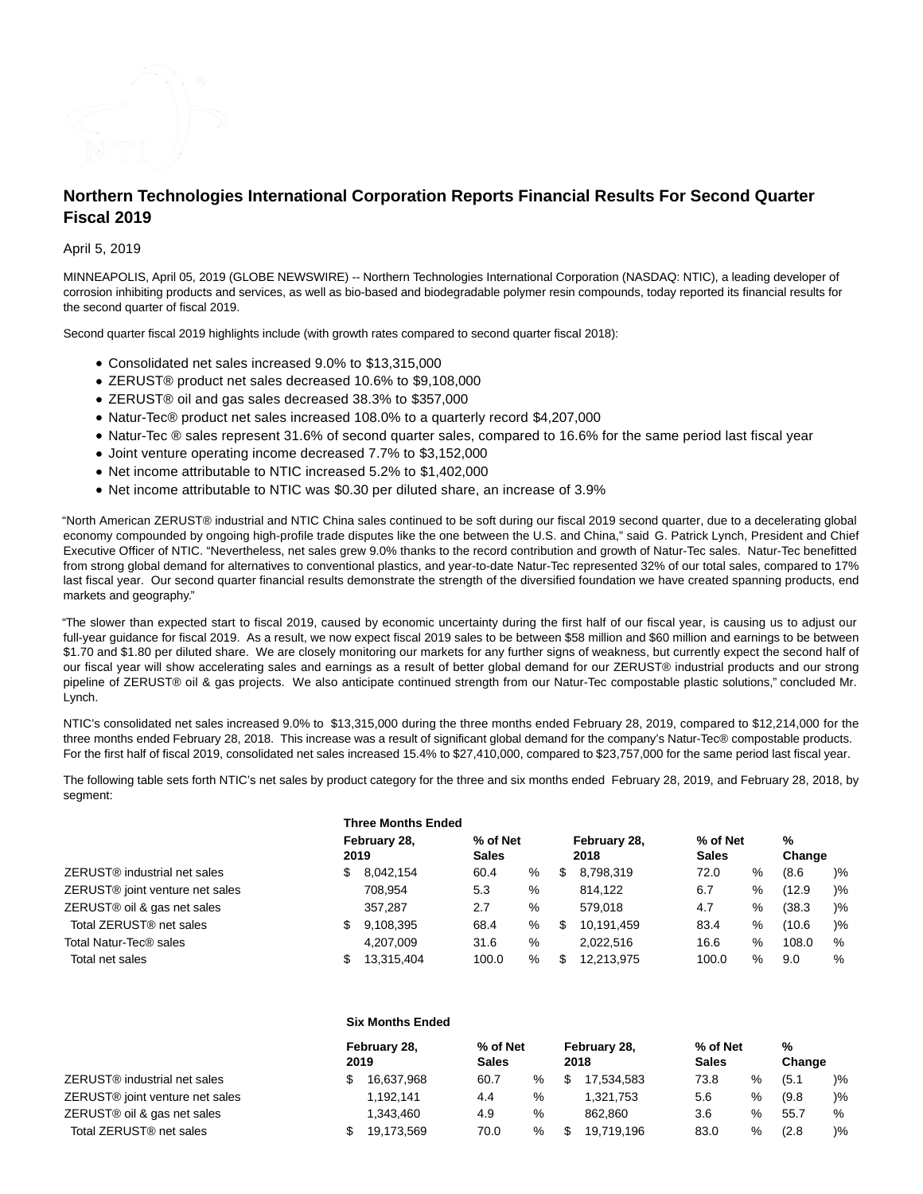

# **Northern Technologies International Corporation Reports Financial Results For Second Quarter Fiscal 2019**

## April 5, 2019

MINNEAPOLIS, April 05, 2019 (GLOBE NEWSWIRE) -- Northern Technologies International Corporation (NASDAQ: NTIC), a leading developer of corrosion inhibiting products and services, as well as bio-based and biodegradable polymer resin compounds, today reported its financial results for the second quarter of fiscal 2019.

Second quarter fiscal 2019 highlights include (with growth rates compared to second quarter fiscal 2018):

- Consolidated net sales increased 9.0% to \$13,315,000
- ZERUST® product net sales decreased 10.6% to \$9,108,000
- ZERUST® oil and gas sales decreased 38.3% to \$357,000
- Natur-Tec® product net sales increased 108.0% to a quarterly record \$4,207,000
- Natur-Tec ® sales represent 31.6% of second quarter sales, compared to 16.6% for the same period last fiscal year
- Joint venture operating income decreased 7.7% to \$3,152,000
- Net income attributable to NTIC increased 5.2% to \$1,402,000
- Net income attributable to NTIC was \$0.30 per diluted share, an increase of 3.9%

"North American ZERUST® industrial and NTIC China sales continued to be soft during our fiscal 2019 second quarter, due to a decelerating global economy compounded by ongoing high-profile trade disputes like the one between the U.S. and China," said G. Patrick Lynch, President and Chief Executive Officer of NTIC. "Nevertheless, net sales grew 9.0% thanks to the record contribution and growth of Natur-Tec sales. Natur-Tec benefitted from strong global demand for alternatives to conventional plastics, and year-to-date Natur-Tec represented 32% of our total sales, compared to 17% last fiscal year. Our second quarter financial results demonstrate the strength of the diversified foundation we have created spanning products, end markets and geography."

"The slower than expected start to fiscal 2019, caused by economic uncertainty during the first half of our fiscal year, is causing us to adjust our full-year guidance for fiscal 2019. As a result, we now expect fiscal 2019 sales to be between \$58 million and \$60 million and earnings to be between \$1.70 and \$1.80 per diluted share. We are closely monitoring our markets for any further signs of weakness, but currently expect the second half of our fiscal year will show accelerating sales and earnings as a result of better global demand for our ZERUST® industrial products and our strong pipeline of ZERUST® oil & gas projects. We also anticipate continued strength from our Natur-Tec compostable plastic solutions," concluded Mr. Lynch.

NTIC's consolidated net sales increased 9.0% to \$13,315,000 during the three months ended February 28, 2019, compared to \$12,214,000 for the three months ended February 28, 2018. This increase was a result of significant global demand for the company's Natur-Tec® compostable products. For the first half of fiscal 2019, consolidated net sales increased 15.4% to \$27,410,000, compared to \$23,757,000 for the same period last fiscal year.

The following table sets forth NTIC's net sales by product category for the three and six months ended February 28, 2019, and February 28, 2018, by segment:

|                                             | <b>Three Months Ended</b> |            |                          |   |                      |            |                          |   |             |       |  |
|---------------------------------------------|---------------------------|------------|--------------------------|---|----------------------|------------|--------------------------|---|-------------|-------|--|
| ZERUST <sup>®</sup> industrial net sales    | February 28,<br>2019      |            | % of Net<br><b>Sales</b> |   | February 28,<br>2018 |            | % of Net<br><b>Sales</b> |   | %<br>Change |       |  |
|                                             | \$.                       | 8,042,154  | 60.4                     | % | S                    | 8,798,319  | 72.0                     | % | (8.6)       | $)\%$ |  |
| ZERUST <sup>®</sup> joint venture net sales |                           | 708,954    | 5.3                      | % |                      | 814.122    | 6.7                      | % | (12.9)      | $)\%$ |  |
| ZERUST <sup>®</sup> oil & gas net sales     |                           | 357.287    | 2.7                      | % |                      | 579.018    | 4.7                      | % | (38.3)      | $)\%$ |  |
| Total ZERUST <sup>®</sup> net sales         |                           | 9,108,395  | 68.4                     | % | S                    | 10.191.459 | 83.4                     | % | (10.6)      | $)\%$ |  |
| Total Natur-Tec® sales                      |                           | 4.207.009  | 31.6                     | % |                      | 2.022.516  | 16.6                     | % | 108.0       | %     |  |
| Total net sales                             |                           | 13.315.404 | 100.0                    | % | S                    | 12.213.975 | 100.0                    | % | 9.0         | %     |  |

#### **Six Months Ended**

|                                     | February 28,<br>2019 |            | % of Net<br>Sales |      | February 28,<br>2018 |            | % of Net<br><b>Sales</b> |      | %<br>Change |               |
|-------------------------------------|----------------------|------------|-------------------|------|----------------------|------------|--------------------------|------|-------------|---------------|
| ZERUST® industrial net sales        |                      | 16.637.968 | 60.7              | $\%$ |                      | 17.534.583 | 73.8                     | %    | (5.1)       | $\frac{9}{6}$ |
| ZERUST® joint venture net sales     |                      | 1.192.141  | 4.4               | %    |                      | 1.321.753  | 5.6                      | %    | (9.8)       | $\frac{9}{6}$ |
| ZERUST® oil & gas net sales         |                      | 1.343.460  | 4.9               | %    |                      | 862.860    | 3.6                      | $\%$ | 55.7        | %             |
| Total ZERUST <sup>®</sup> net sales |                      | 19.173.569 | 70.0              | $\%$ |                      | 19.719.196 | 83.0                     | %    | (2.8)       | $\frac{9}{6}$ |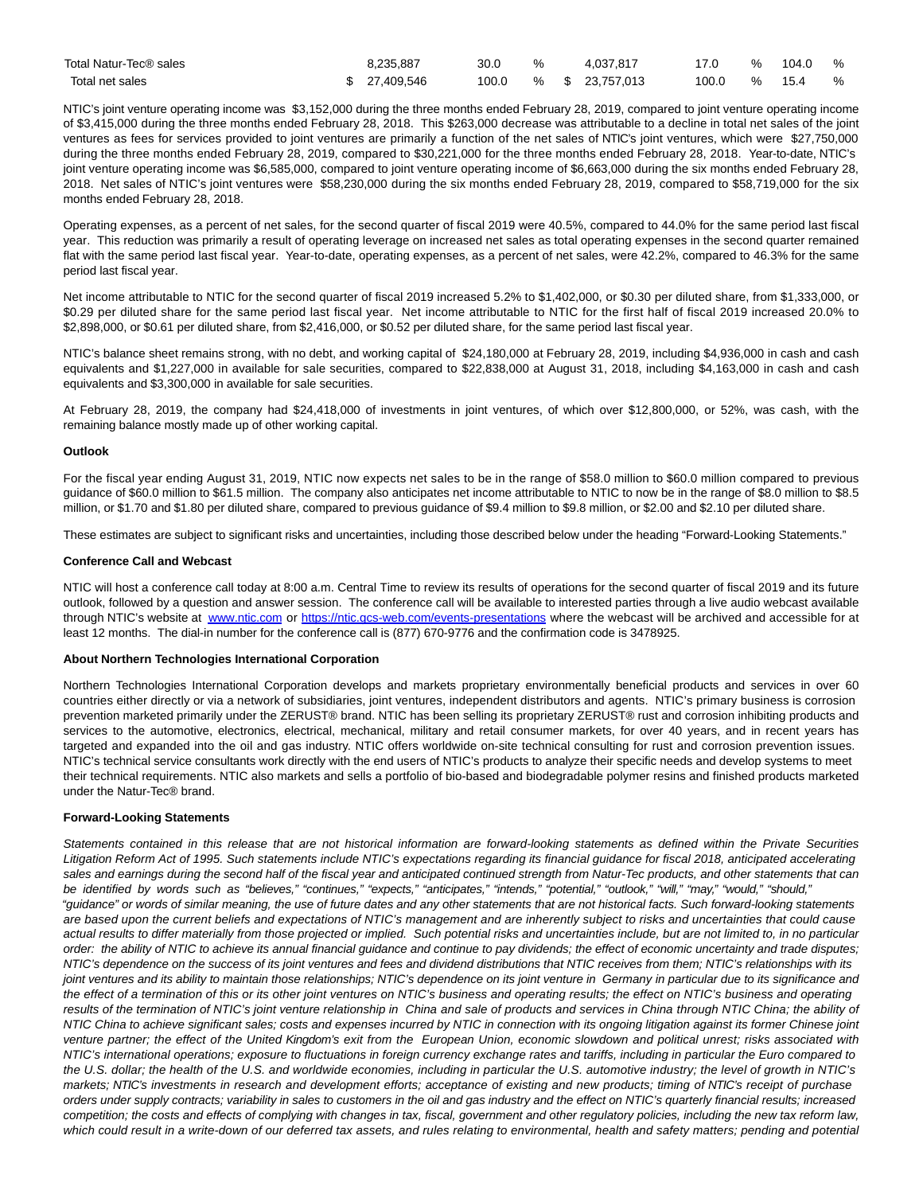| Total Natur-Tec® sales | 8,235,887     | 30.0  | ℅ | 4.037.817       |       | $\%$ | 104.0 | % |
|------------------------|---------------|-------|---|-----------------|-------|------|-------|---|
| Total net sales        | \$ 27,409,546 | 100.0 |   | % \$ 23,757,013 | 100.0 | %    | 15.4  | % |

NTIC's joint venture operating income was \$3,152,000 during the three months ended February 28, 2019, compared to joint venture operating income of \$3,415,000 during the three months ended February 28, 2018. This \$263,000 decrease was attributable to a decline in total net sales of the joint ventures as fees for services provided to joint ventures are primarily a function of the net sales of NTIC's joint ventures, which were \$27,750,000 during the three months ended February 28, 2019, compared to \$30,221,000 for the three months ended February 28, 2018. Year-to-date, NTIC's joint venture operating income was \$6,585,000, compared to joint venture operating income of \$6,663,000 during the six months ended February 28, 2018. Net sales of NTIC's joint ventures were \$58,230,000 during the six months ended February 28, 2019, compared to \$58,719,000 for the six months ended February 28, 2018.

Operating expenses, as a percent of net sales, for the second quarter of fiscal 2019 were 40.5%, compared to 44.0% for the same period last fiscal year. This reduction was primarily a result of operating leverage on increased net sales as total operating expenses in the second quarter remained flat with the same period last fiscal year. Year-to-date, operating expenses, as a percent of net sales, were 42.2%, compared to 46.3% for the same period last fiscal year.

Net income attributable to NTIC for the second quarter of fiscal 2019 increased 5.2% to \$1,402,000, or \$0.30 per diluted share, from \$1,333,000, or \$0.29 per diluted share for the same period last fiscal year. Net income attributable to NTIC for the first half of fiscal 2019 increased 20.0% to \$2,898,000, or \$0.61 per diluted share, from \$2,416,000, or \$0.52 per diluted share, for the same period last fiscal year.

NTIC's balance sheet remains strong, with no debt, and working capital of \$24,180,000 at February 28, 2019, including \$4,936,000 in cash and cash equivalents and \$1,227,000 in available for sale securities, compared to \$22,838,000 at August 31, 2018, including \$4,163,000 in cash and cash equivalents and \$3,300,000 in available for sale securities.

At February 28, 2019, the company had \$24,418,000 of investments in joint ventures, of which over \$12,800,000, or 52%, was cash, with the remaining balance mostly made up of other working capital.

#### **Outlook**

For the fiscal year ending August 31, 2019, NTIC now expects net sales to be in the range of \$58.0 million to \$60.0 million compared to previous guidance of \$60.0 million to \$61.5 million. The company also anticipates net income attributable to NTIC to now be in the range of \$8.0 million to \$8.5 million, or \$1.70 and \$1.80 per diluted share, compared to previous guidance of \$9.4 million to \$9.8 million, or \$2.00 and \$2.10 per diluted share.

These estimates are subject to significant risks and uncertainties, including those described below under the heading "Forward-Looking Statements."

#### **Conference Call and Webcast**

NTIC will host a conference call today at 8:00 a.m. Central Time to review its results of operations for the second quarter of fiscal 2019 and its future outlook, followed by a question and answer session. The conference call will be available to interested parties through a live audio webcast available through NTIC's website at [www.ntic.com](https://www.globenewswire.com/Tracker?data=QeY365jCaUOmE-9vrvUnew1iHzquFbw6Y8te5gENR-NX-y-xq17epRXTxPF8mK4MQdsmFfCUM4gXOVL2qZIkqQ==) or [https://ntic.gcs-web.com/events-presentations](https://www.globenewswire.com/Tracker?data=9fCWVdOw2oiyJ4mgzkxzvpxKfZ0P8Yn50-ox5uXCWlohgDLtXP8rFiLGGcEwjY1kBzyJn7nNz7vWFQ21hYNpnONM9uCCNKycY36eJftwJ2I84_sk4dwcUsSHzDr3wnC7aAhJMkhW1X6h243BRgOYik8I9CXzOQKznowBPA80D2o=) where the webcast will be archived and accessible for at least 12 months. The dial-in number for the conference call is (877) 670-9776 and the confirmation code is 3478925.

#### **About Northern Technologies International Corporation**

Northern Technologies International Corporation develops and markets proprietary environmentally beneficial products and services in over 60 countries either directly or via a network of subsidiaries, joint ventures, independent distributors and agents. NTIC's primary business is corrosion prevention marketed primarily under the ZERUST® brand. NTIC has been selling its proprietary ZERUST® rust and corrosion inhibiting products and services to the automotive, electronics, electrical, mechanical, military and retail consumer markets, for over 40 years, and in recent years has targeted and expanded into the oil and gas industry. NTIC offers worldwide on-site technical consulting for rust and corrosion prevention issues. NTIC's technical service consultants work directly with the end users of NTIC's products to analyze their specific needs and develop systems to meet their technical requirements. NTIC also markets and sells a portfolio of bio-based and biodegradable polymer resins and finished products marketed under the Natur-Tec® brand.

## **Forward-Looking Statements**

Statements contained in this release that are not historical information are forward-looking statements as defined within the Private Securities Litigation Reform Act of 1995. Such statements include NTIC's expectations regarding its financial guidance for fiscal 2018, anticipated accelerating sales and earnings during the second half of the fiscal year and anticipated continued strength from Natur-Tec products, and other statements that can be identified by words such as "believes," "continues," "expects," "anticipates," "intends," "potential," "outlook," "will," "may," "would," "should," "guidance" or words of similar meaning, the use of future dates and any other statements that are not historical facts. Such forward-looking statements are based upon the current beliefs and expectations of NTIC's management and are inherently subject to risks and uncertainties that could cause actual results to differ materially from those projected or implied. Such potential risks and uncertainties include, but are not limited to, in no particular order: the ability of NTIC to achieve its annual financial guidance and continue to pay dividends; the effect of economic uncertainty and trade disputes; NTIC's dependence on the success of its joint ventures and fees and dividend distributions that NTIC receives from them; NTIC's relationships with its joint ventures and its ability to maintain those relationships; NTIC's dependence on its joint venture in Germany in particular due to its significance and the effect of a termination of this or its other joint ventures on NTIC's business and operating results; the effect on NTIC's business and operating results of the termination of NTIC's joint venture relationship in China and sale of products and services in China through NTIC China; the ability of NTIC China to achieve significant sales; costs and expenses incurred by NTIC in connection with its ongoing litigation against its former Chinese joint venture partner; the effect of the United Kingdom's exit from the European Union, economic slowdown and political unrest; risks associated with NTIC's international operations; exposure to fluctuations in foreign currency exchange rates and tariffs, including in particular the Euro compared to the U.S. dollar; the health of the U.S. and worldwide economies, including in particular the U.S. automotive industry; the level of growth in NTIC's markets; NTIC's investments in research and development efforts; acceptance of existing and new products; timing of NTIC's receipt of purchase orders under supply contracts; variability in sales to customers in the oil and gas industry and the effect on NTIC's quarterly financial results; increased competition; the costs and effects of complying with changes in tax, fiscal, government and other regulatory policies, including the new tax reform law, which could result in a write-down of our deferred tax assets, and rules relating to environmental, health and safety matters; pending and potential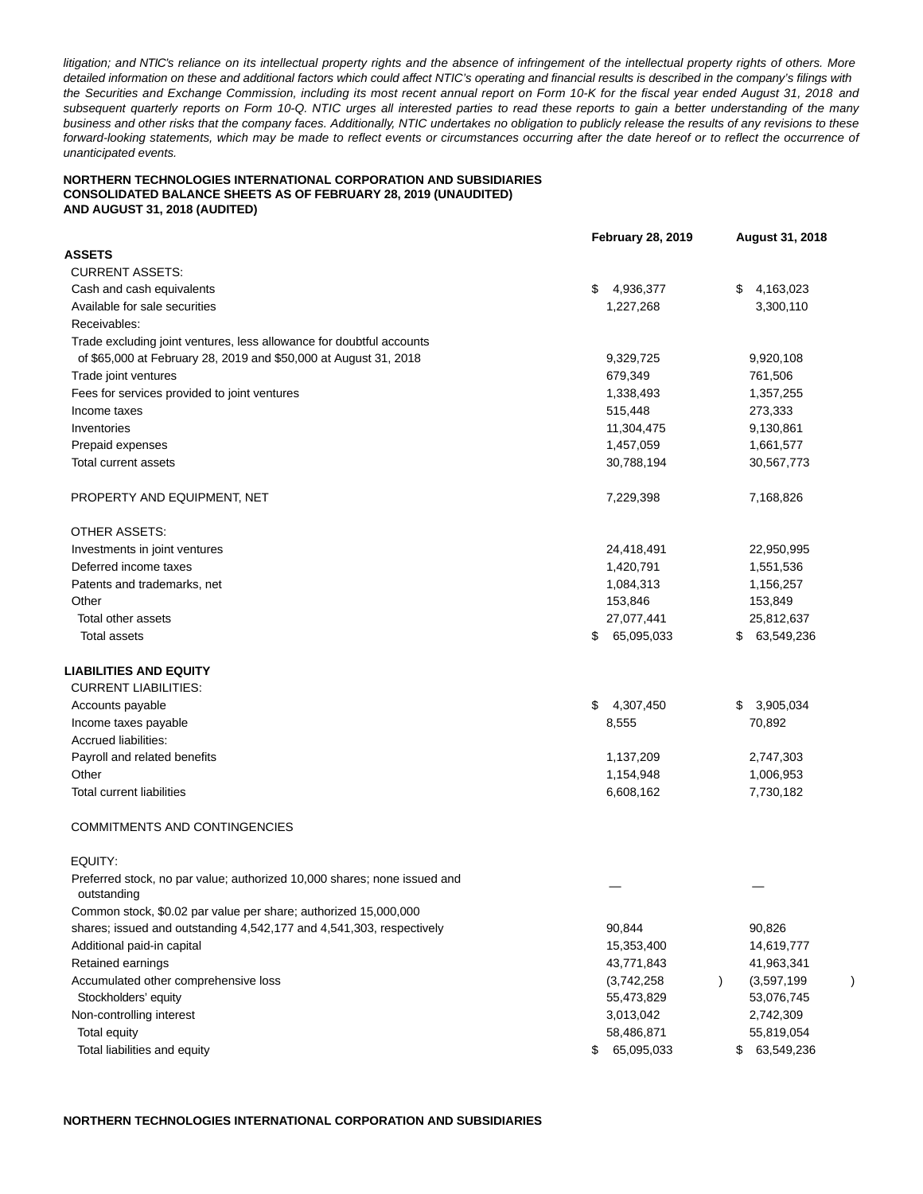litigation; and NTIC's reliance on its intellectual property rights and the absence of infringement of the intellectual property rights of others. More detailed information on these and additional factors which could affect NTIC's operating and financial results is described in the company's filings with the Securities and Exchange Commission, including its most recent annual report on Form 10-K for the fiscal year ended August 31, 2018 and subsequent quarterly reports on Form 10-Q. NTIC urges all interested parties to read these reports to gain a better understanding of the many business and other risks that the company faces. Additionally, NTIC undertakes no obligation to publicly release the results of any revisions to these forward-looking statements, which may be made to reflect events or circumstances occurring after the date hereof or to reflect the occurrence of unanticipated events.

## **NORTHERN TECHNOLOGIES INTERNATIONAL CORPORATION AND SUBSIDIARIES CONSOLIDATED BALANCE SHEETS AS OF FEBRUARY 28, 2019 (UNAUDITED) AND AUGUST 31, 2018 (AUDITED)**

|                                                                                         | <b>February 28, 2019</b> | August 31, 2018  |
|-----------------------------------------------------------------------------------------|--------------------------|------------------|
| <b>ASSETS</b>                                                                           |                          |                  |
| <b>CURRENT ASSETS:</b>                                                                  |                          |                  |
| Cash and cash equivalents                                                               | \$<br>4,936,377          | 4,163,023<br>\$  |
| Available for sale securities                                                           | 1,227,268                | 3,300,110        |
| Receivables:                                                                            |                          |                  |
| Trade excluding joint ventures, less allowance for doubtful accounts                    |                          |                  |
| of \$65,000 at February 28, 2019 and \$50,000 at August 31, 2018                        | 9,329,725                | 9,920,108        |
| Trade joint ventures                                                                    | 679,349                  | 761,506          |
| Fees for services provided to joint ventures                                            | 1,338,493                | 1,357,255        |
| Income taxes                                                                            | 515,448                  | 273,333          |
| Inventories                                                                             | 11,304,475               | 9,130,861        |
| Prepaid expenses                                                                        | 1,457,059                | 1,661,577        |
| Total current assets                                                                    | 30,788,194               | 30,567,773       |
| PROPERTY AND EQUIPMENT, NET                                                             | 7,229,398                | 7,168,826        |
| <b>OTHER ASSETS:</b>                                                                    |                          |                  |
| Investments in joint ventures                                                           | 24,418,491               | 22,950,995       |
| Deferred income taxes                                                                   | 1,420,791                | 1,551,536        |
| Patents and trademarks, net                                                             | 1,084,313                | 1,156,257        |
| Other                                                                                   | 153,846                  | 153,849          |
| Total other assets                                                                      | 27,077,441               | 25,812,637       |
| <b>Total assets</b>                                                                     | 65,095,033<br>\$         | 63,549,236<br>\$ |
| LIABILITIES AND EQUITY                                                                  |                          |                  |
| <b>CURRENT LIABILITIES:</b>                                                             |                          |                  |
| Accounts payable                                                                        | \$<br>4,307,450          | 3,905,034<br>\$  |
| Income taxes payable                                                                    | 8,555                    | 70,892           |
| Accrued liabilities:                                                                    |                          |                  |
| Payroll and related benefits                                                            | 1,137,209                | 2,747,303        |
| Other                                                                                   | 1,154,948                | 1,006,953        |
| <b>Total current liabilities</b>                                                        | 6,608,162                | 7,730,182        |
| <b>COMMITMENTS AND CONTINGENCIES</b>                                                    |                          |                  |
| EQUITY:                                                                                 |                          |                  |
| Preferred stock, no par value; authorized 10,000 shares; none issued and<br>outstanding |                          |                  |
| Common stock, \$0.02 par value per share; authorized 15,000,000                         |                          |                  |
| shares; issued and outstanding 4,542,177 and 4,541,303, respectively                    | 90,844                   | 90,826           |
| Additional paid-in capital                                                              | 15,353,400               | 14,619,777       |
| Retained earnings                                                                       | 43,771,843               | 41,963,341       |
| Accumulated other comprehensive loss                                                    | (3,742,258)              | (3,597,199)      |
| Stockholders' equity                                                                    | 55,473,829               | 53,076,745       |
| Non-controlling interest                                                                | 3,013,042                | 2,742,309        |
| Total equity                                                                            | 58,486,871               | 55,819,054       |
| Total liabilities and equity                                                            | 65,095,033<br>\$         | 63,549,236<br>\$ |